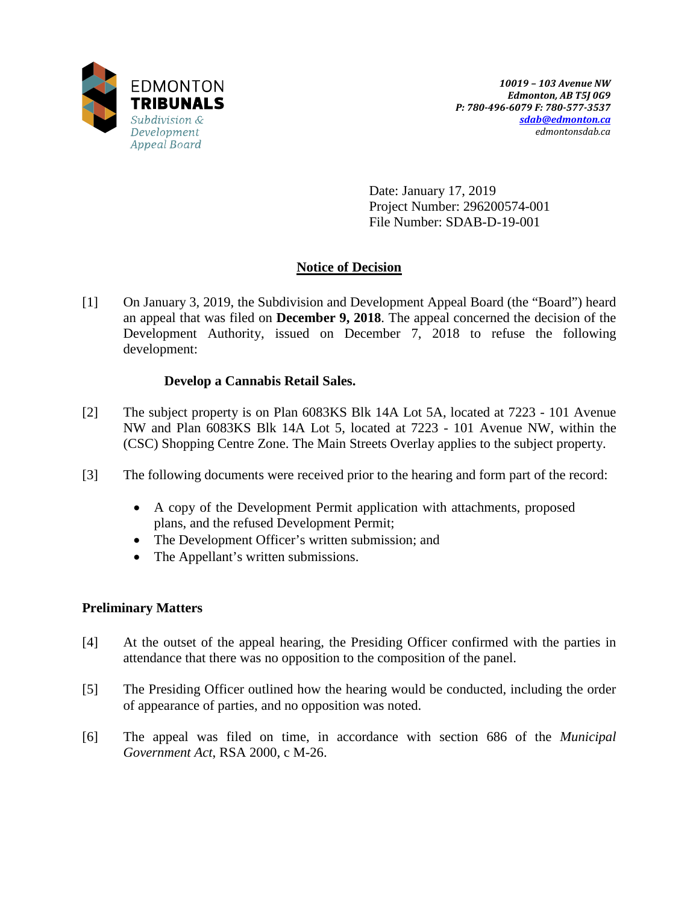

Date: January 17, 2019 Project Number: 296200574-001 File Number: SDAB-D-19-001

# **Notice of Decision**

[1] On January 3, 2019, the Subdivision and Development Appeal Board (the "Board") heard an appeal that was filed on **December 9, 2018**. The appeal concerned the decision of the Development Authority, issued on December 7, 2018 to refuse the following development:

## **Develop a Cannabis Retail Sales.**

- [2] The subject property is on Plan 6083KS Blk 14A Lot 5A, located at 7223 101 Avenue NW and Plan 6083KS Blk 14A Lot 5, located at 7223 - 101 Avenue NW, within the (CSC) Shopping Centre Zone. The Main Streets Overlay applies to the subject property.
- [3] The following documents were received prior to the hearing and form part of the record:
	- A copy of the Development Permit application with attachments, proposed plans, and the refused Development Permit;
	- The Development Officer's written submission; and
	- The Appellant's written submissions.

## **Preliminary Matters**

- [4] At the outset of the appeal hearing, the Presiding Officer confirmed with the parties in attendance that there was no opposition to the composition of the panel.
- [5] The Presiding Officer outlined how the hearing would be conducted, including the order of appearance of parties, and no opposition was noted.
- [6] The appeal was filed on time, in accordance with section 686 of the *Municipal Government Act*, RSA 2000, c M-26.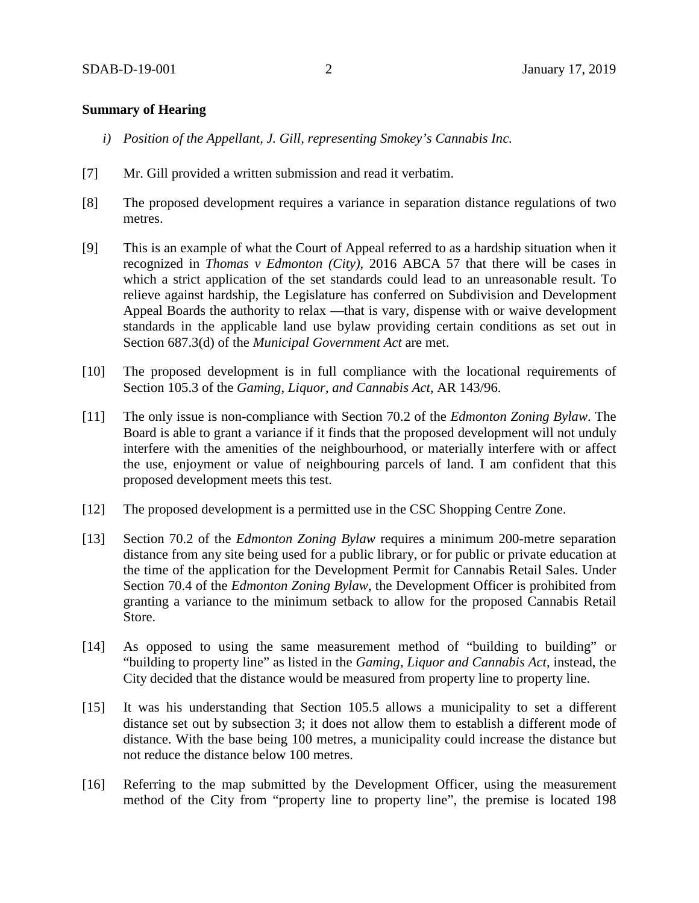## **Summary of Hearing**

- *i) Position of the Appellant, J. Gill, representing Smokey's Cannabis Inc.*
- [7] Mr. Gill provided a written submission and read it verbatim.
- [8] The proposed development requires a variance in separation distance regulations of two metres.
- [9] This is an example of what the Court of Appeal referred to as a hardship situation when it recognized in *Thomas v Edmonton (City)*, 2016 ABCA 57 that there will be cases in which a strict application of the set standards could lead to an unreasonable result. To relieve against hardship, the Legislature has conferred on Subdivision and Development Appeal Boards the authority to relax —that is vary, dispense with or waive development standards in the applicable land use bylaw providing certain conditions as set out in Section 687.3(d) of the *Municipal Government Act* are met.
- [10] The proposed development is in full compliance with the locational requirements of Section 105.3 of the *Gaming, Liquor, and Cannabis Act*, AR 143/96.
- [11] The only issue is non-compliance with Section 70.2 of the *Edmonton Zoning Bylaw*. The Board is able to grant a variance if it finds that the proposed development will not unduly interfere with the amenities of the neighbourhood, or materially interfere with or affect the use, enjoyment or value of neighbouring parcels of land. I am confident that this proposed development meets this test.
- [12] The proposed development is a permitted use in the CSC Shopping Centre Zone.
- [13] Section 70.2 of the *Edmonton Zoning Bylaw* requires a minimum 200-metre separation distance from any site being used for a public library, or for public or private education at the time of the application for the Development Permit for Cannabis Retail Sales. Under Section 70.4 of the *Edmonton Zoning Bylaw*, the Development Officer is prohibited from granting a variance to the minimum setback to allow for the proposed Cannabis Retail Store.
- [14] As opposed to using the same measurement method of "building to building" or "building to property line" as listed in the *Gaming, Liquor and Cannabis Act*, instead, the City decided that the distance would be measured from property line to property line.
- [15] It was his understanding that Section 105.5 allows a municipality to set a different distance set out by subsection 3; it does not allow them to establish a different mode of distance. With the base being 100 metres, a municipality could increase the distance but not reduce the distance below 100 metres.
- [16] Referring to the map submitted by the Development Officer, using the measurement method of the City from "property line to property line", the premise is located 198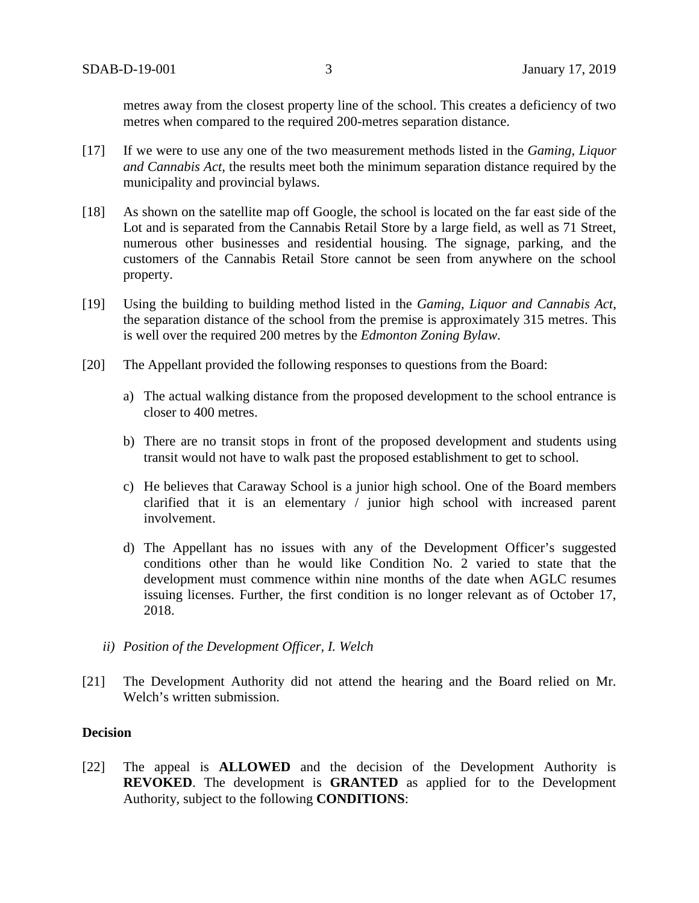metres away from the closest property line of the school. This creates a deficiency of two metres when compared to the required 200-metres separation distance.

- [17] If we were to use any one of the two measurement methods listed in the *Gaming, Liquor and Cannabis Act*, the results meet both the minimum separation distance required by the municipality and provincial bylaws.
- [18] As shown on the satellite map off Google, the school is located on the far east side of the Lot and is separated from the Cannabis Retail Store by a large field, as well as 71 Street, numerous other businesses and residential housing. The signage, parking, and the customers of the Cannabis Retail Store cannot be seen from anywhere on the school property.
- [19] Using the building to building method listed in the *Gaming, Liquor and Cannabis Act*, the separation distance of the school from the premise is approximately 315 metres. This is well over the required 200 metres by the *Edmonton Zoning Bylaw*.
- [20] The Appellant provided the following responses to questions from the Board:
	- a) The actual walking distance from the proposed development to the school entrance is closer to 400 metres.
	- b) There are no transit stops in front of the proposed development and students using transit would not have to walk past the proposed establishment to get to school.
	- c) He believes that Caraway School is a junior high school. One of the Board members clarified that it is an elementary / junior high school with increased parent involvement.
	- d) The Appellant has no issues with any of the Development Officer's suggested conditions other than he would like Condition No. 2 varied to state that the development must commence within nine months of the date when AGLC resumes issuing licenses. Further, the first condition is no longer relevant as of October 17, 2018.
	- *ii) Position of the Development Officer, I. Welch*
- [21] The Development Authority did not attend the hearing and the Board relied on Mr. Welch's written submission.

#### **Decision**

[22] The appeal is **ALLOWED** and the decision of the Development Authority is **REVOKED**. The development is **GRANTED** as applied for to the Development Authority, subject to the following **CONDITIONS**: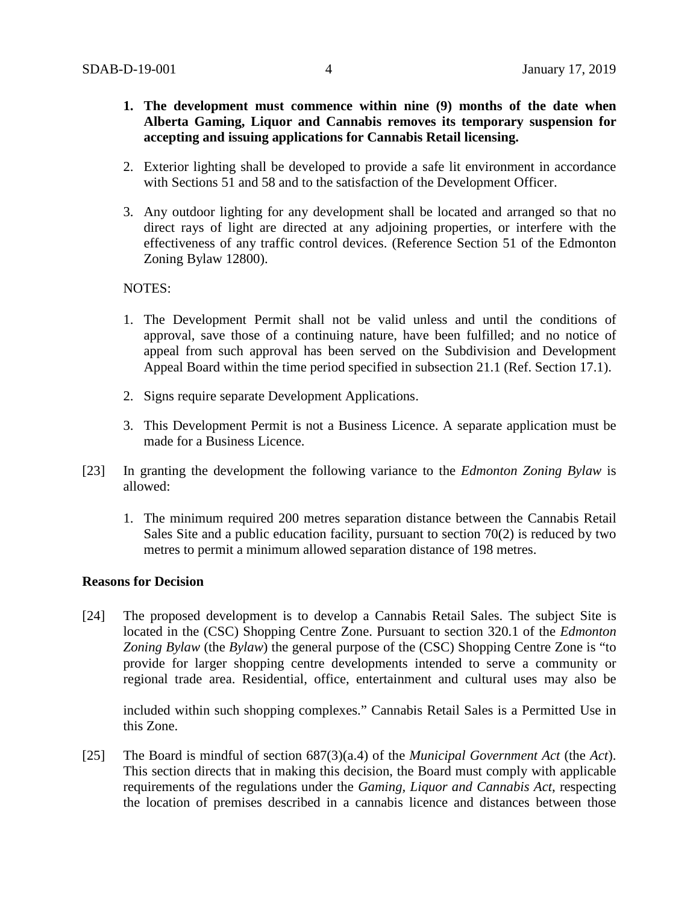- **1. The development must commence within nine (9) months of the date when Alberta Gaming, Liquor and Cannabis removes its temporary suspension for accepting and issuing applications for Cannabis Retail licensing.**
- 2. Exterior lighting shall be developed to provide a safe lit environment in accordance with Sections 51 and 58 and to the satisfaction of the Development Officer.
- 3. Any outdoor lighting for any development shall be located and arranged so that no direct rays of light are directed at any adjoining properties, or interfere with the effectiveness of any traffic control devices. (Reference Section 51 of the Edmonton Zoning Bylaw 12800).

## NOTES:

- 1. The Development Permit shall not be valid unless and until the conditions of approval, save those of a continuing nature, have been fulfilled; and no notice of appeal from such approval has been served on the Subdivision and Development Appeal Board within the time period specified in subsection 21.1 (Ref. Section 17.1).
- 2. Signs require separate Development Applications.
- 3. This Development Permit is not a Business Licence. A separate application must be made for a Business Licence.
- [23] In granting the development the following variance to the *Edmonton Zoning Bylaw* is allowed:
	- 1. The minimum required 200 metres separation distance between the Cannabis Retail Sales Site and a public education facility, pursuant to section 70(2) is reduced by two metres to permit a minimum allowed separation distance of 198 metres.

#### **Reasons for Decision**

[24] The proposed development is to develop a Cannabis Retail Sales. The subject Site is located in the (CSC) Shopping Centre Zone. Pursuant to section 320.1 of the *Edmonton Zoning Bylaw* (the *Bylaw*) the general purpose of the (CSC) Shopping Centre Zone is "to provide for larger shopping centre developments intended to serve a community or regional trade area. Residential, office, entertainment and cultural uses may also be

included within such shopping complexes." Cannabis Retail Sales is a Permitted Use in this Zone.

[25] The Board is mindful of section 687(3)(a.4) of the *Municipal Government Act* (the *Act*). This section directs that in making this decision, the Board must comply with applicable requirements of the regulations under the *Gaming, Liquor and Cannabis Act*, respecting the location of premises described in a cannabis licence and distances between those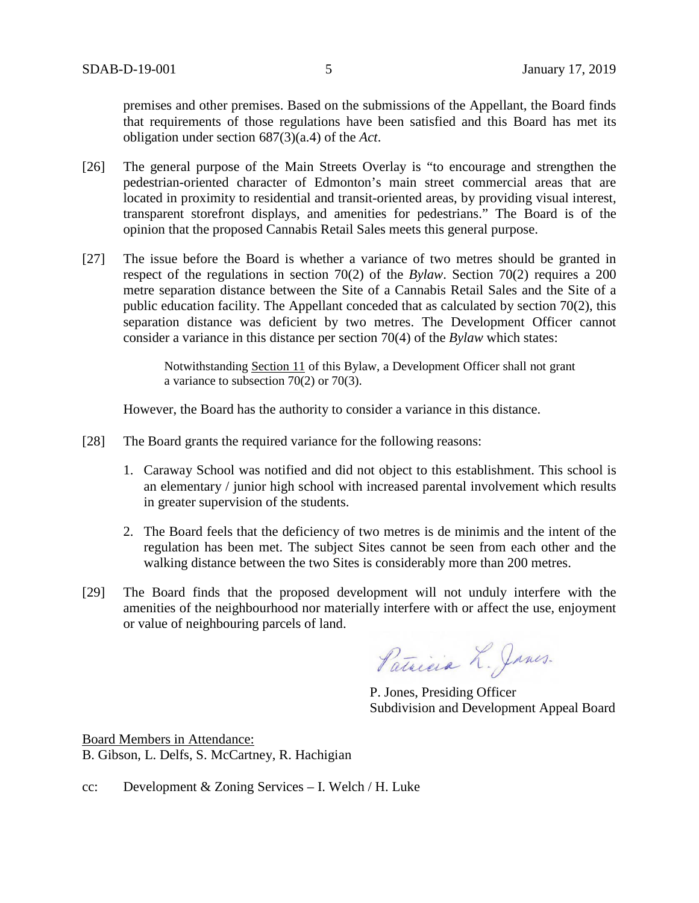premises and other premises. Based on the submissions of the Appellant, the Board finds that requirements of those regulations have been satisfied and this Board has met its obligation under section 687(3)(a.4) of the *Act*.

- [26] The general purpose of the Main Streets Overlay is "to encourage and strengthen the pedestrian-oriented character of Edmonton's main street commercial areas that are located in proximity to residential and transit-oriented areas, by providing visual interest, transparent storefront displays, and amenities for pedestrians." The Board is of the opinion that the proposed Cannabis Retail Sales meets this general purpose.
- [27] The issue before the Board is whether a variance of two metres should be granted in respect of the regulations in section 70(2) of the *Bylaw*. Section 70(2) requires a 200 metre separation distance between the Site of a Cannabis Retail Sales and the Site of a public education facility. The Appellant conceded that as calculated by section 70(2), this separation distance was deficient by two metres. The Development Officer cannot consider a variance in this distance per section 70(4) of the *Bylaw* which states:

Notwithstanding [Section 11](https://webdocs.edmonton.ca/InfraPlan/zoningbylaw/ZoningBylaw/Part1/Administrative/11__Authority_and_Responsibility_of_the_Development_Officer.htm) of this Bylaw, a Development Officer shall not grant a variance to subsection 70(2) or 70(3).

However, the Board has the authority to consider a variance in this distance.

- [28] The Board grants the required variance for the following reasons:
	- 1. Caraway School was notified and did not object to this establishment. This school is an elementary / junior high school with increased parental involvement which results in greater supervision of the students.
	- 2. The Board feels that the deficiency of two metres is de minimis and the intent of the regulation has been met. The subject Sites cannot be seen from each other and the walking distance between the two Sites is considerably more than 200 metres.
- [29] The Board finds that the proposed development will not unduly interfere with the amenities of the neighbourhood nor materially interfere with or affect the use, enjoyment or value of neighbouring parcels of land.

Patricia L. Janes.

P. Jones, Presiding Officer Subdivision and Development Appeal Board

Board Members in Attendance: B. Gibson, L. Delfs, S. McCartney, R. Hachigian

cc: Development & Zoning Services – I. Welch / H. Luke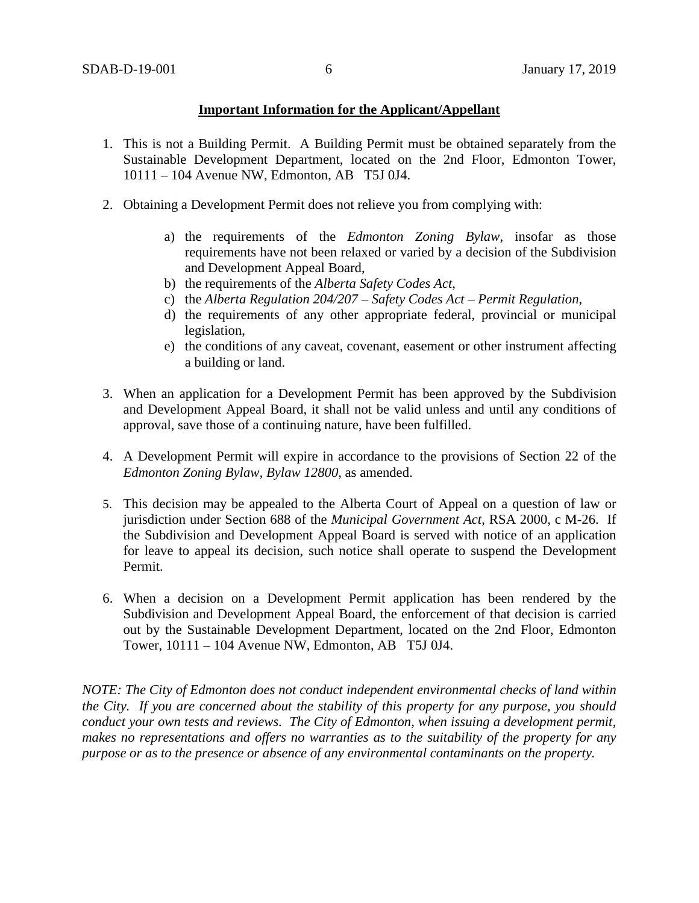## **Important Information for the Applicant/Appellant**

- 1. This is not a Building Permit. A Building Permit must be obtained separately from the Sustainable Development Department, located on the 2nd Floor, Edmonton Tower, 10111 – 104 Avenue NW, Edmonton, AB T5J 0J4.
- 2. Obtaining a Development Permit does not relieve you from complying with:
	- a) the requirements of the *Edmonton Zoning Bylaw*, insofar as those requirements have not been relaxed or varied by a decision of the Subdivision and Development Appeal Board,
	- b) the requirements of the *Alberta Safety Codes Act*,
	- c) the *Alberta Regulation 204/207 – Safety Codes Act – Permit Regulation*,
	- d) the requirements of any other appropriate federal, provincial or municipal legislation,
	- e) the conditions of any caveat, covenant, easement or other instrument affecting a building or land.
- 3. When an application for a Development Permit has been approved by the Subdivision and Development Appeal Board, it shall not be valid unless and until any conditions of approval, save those of a continuing nature, have been fulfilled.
- 4. A Development Permit will expire in accordance to the provisions of Section 22 of the *Edmonton Zoning Bylaw, Bylaw 12800*, as amended.
- 5. This decision may be appealed to the Alberta Court of Appeal on a question of law or jurisdiction under Section 688 of the *Municipal Government Act*, RSA 2000, c M-26. If the Subdivision and Development Appeal Board is served with notice of an application for leave to appeal its decision, such notice shall operate to suspend the Development Permit.
- 6. When a decision on a Development Permit application has been rendered by the Subdivision and Development Appeal Board, the enforcement of that decision is carried out by the Sustainable Development Department, located on the 2nd Floor, Edmonton Tower, 10111 – 104 Avenue NW, Edmonton, AB T5J 0J4.

*NOTE: The City of Edmonton does not conduct independent environmental checks of land within the City. If you are concerned about the stability of this property for any purpose, you should conduct your own tests and reviews. The City of Edmonton, when issuing a development permit, makes no representations and offers no warranties as to the suitability of the property for any purpose or as to the presence or absence of any environmental contaminants on the property.*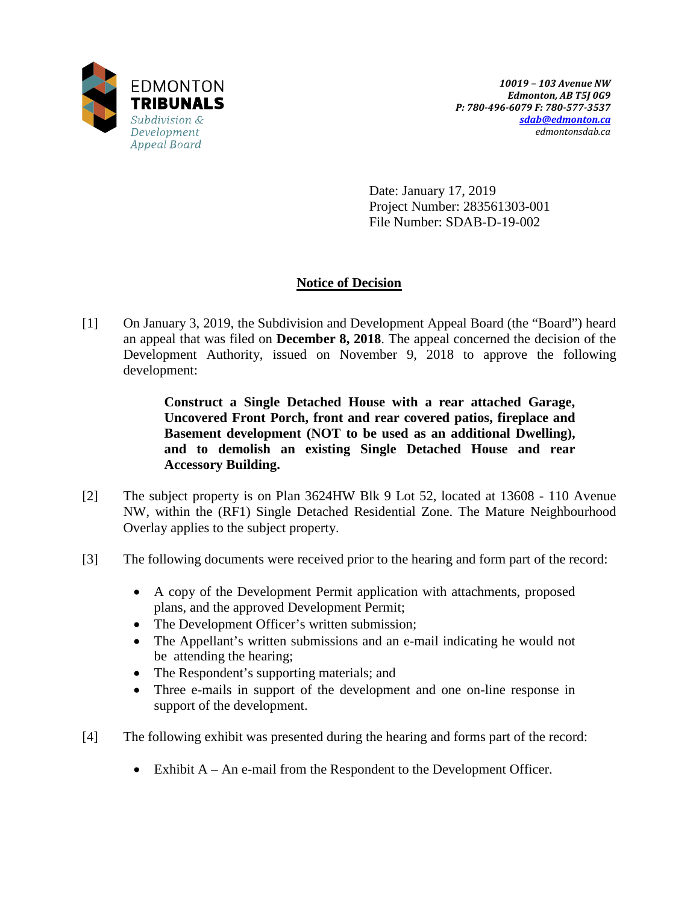

Date: January 17, 2019 Project Number: 283561303-001 File Number: SDAB-D-19-002

# **Notice of Decision**

[1] On January 3, 2019, the Subdivision and Development Appeal Board (the "Board") heard an appeal that was filed on **December 8, 2018**. The appeal concerned the decision of the Development Authority, issued on November 9, 2018 to approve the following development:

> **Construct a Single Detached House with a rear attached Garage, Uncovered Front Porch, front and rear covered patios, fireplace and Basement development (NOT to be used as an additional Dwelling), and to demolish an existing Single Detached House and rear Accessory Building.**

- [2] The subject property is on Plan 3624HW Blk 9 Lot 52, located at 13608 110 Avenue NW, within the (RF1) Single Detached Residential Zone. The Mature Neighbourhood Overlay applies to the subject property.
- [3] The following documents were received prior to the hearing and form part of the record:
	- A copy of the Development Permit application with attachments, proposed plans, and the approved Development Permit;
	- The Development Officer's written submission;
	- The Appellant's written submissions and an e-mail indicating he would not be attending the hearing;
	- The Respondent's supporting materials; and
	- Three e-mails in support of the development and one on-line response in support of the development.
- [4] The following exhibit was presented during the hearing and forms part of the record:
	- Exhibit A An e-mail from the Respondent to the Development Officer.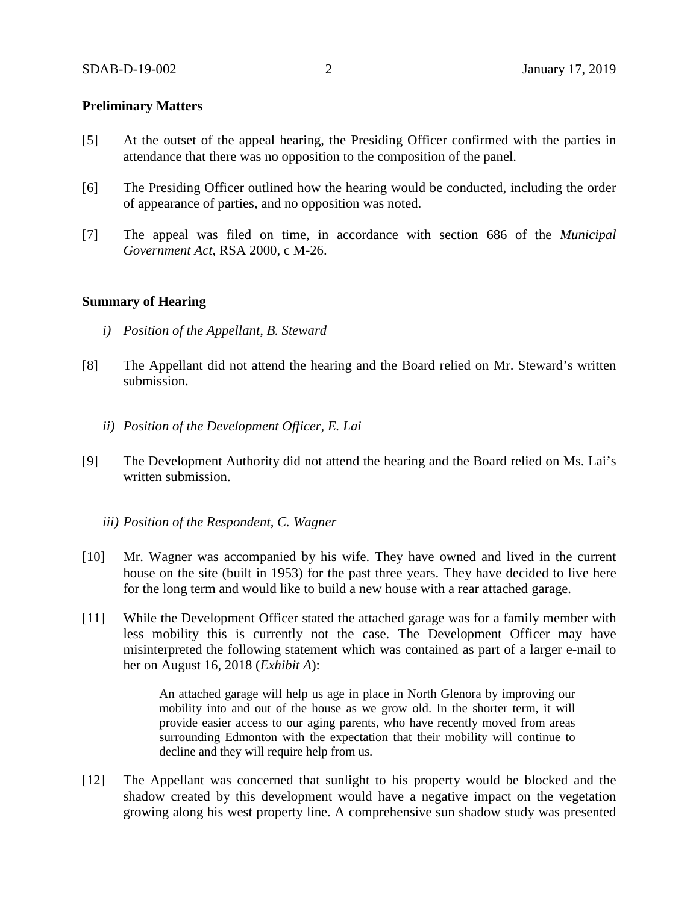### **Preliminary Matters**

- [5] At the outset of the appeal hearing, the Presiding Officer confirmed with the parties in attendance that there was no opposition to the composition of the panel.
- [6] The Presiding Officer outlined how the hearing would be conducted, including the order of appearance of parties, and no opposition was noted.
- [7] The appeal was filed on time, in accordance with section 686 of the *Municipal Government Act*, RSA 2000, c M-26.

#### **Summary of Hearing**

- *i) Position of the Appellant, B. Steward*
- [8] The Appellant did not attend the hearing and the Board relied on Mr. Steward's written submission.
	- *ii) Position of the Development Officer, E. Lai*
- [9] The Development Authority did not attend the hearing and the Board relied on Ms. Lai's written submission.
	- *iii) Position of the Respondent, C. Wagner*
- [10] Mr. Wagner was accompanied by his wife. They have owned and lived in the current house on the site (built in 1953) for the past three years. They have decided to live here for the long term and would like to build a new house with a rear attached garage.
- [11] While the Development Officer stated the attached garage was for a family member with less mobility this is currently not the case. The Development Officer may have misinterpreted the following statement which was contained as part of a larger e-mail to her on August 16, 2018 (*Exhibit A*):

An attached garage will help us age in place in North Glenora by improving our mobility into and out of the house as we grow old. In the shorter term, it will provide easier access to our aging parents, who have recently moved from areas surrounding Edmonton with the expectation that their mobility will continue to decline and they will require help from us.

[12] The Appellant was concerned that sunlight to his property would be blocked and the shadow created by this development would have a negative impact on the vegetation growing along his west property line. A comprehensive sun shadow study was presented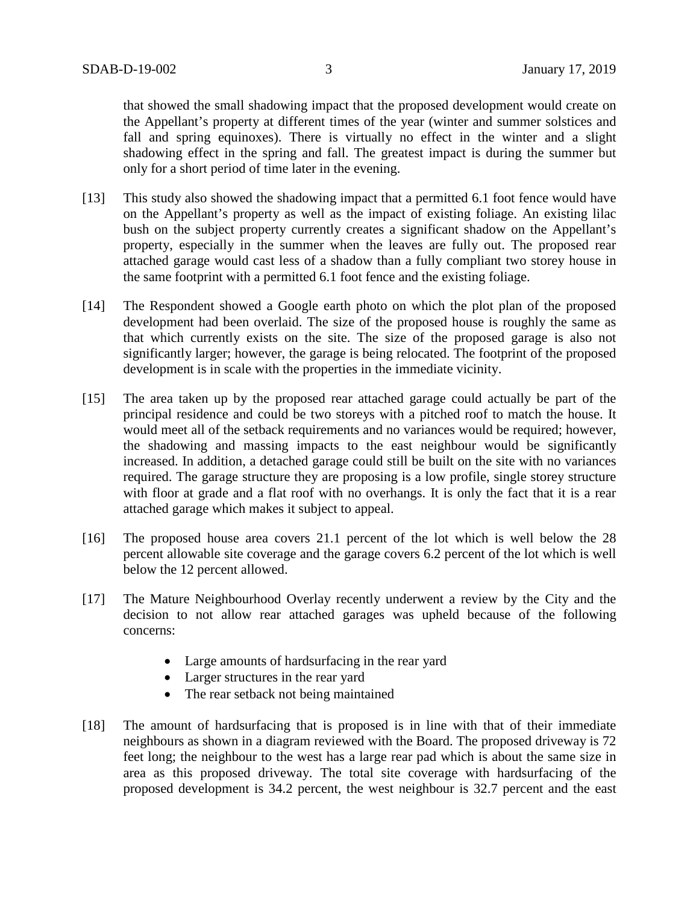that showed the small shadowing impact that the proposed development would create on the Appellant's property at different times of the year (winter and summer solstices and fall and spring equinoxes). There is virtually no effect in the winter and a slight shadowing effect in the spring and fall. The greatest impact is during the summer but only for a short period of time later in the evening.

- [13] This study also showed the shadowing impact that a permitted 6.1 foot fence would have on the Appellant's property as well as the impact of existing foliage. An existing lilac bush on the subject property currently creates a significant shadow on the Appellant's property, especially in the summer when the leaves are fully out. The proposed rear attached garage would cast less of a shadow than a fully compliant two storey house in the same footprint with a permitted 6.1 foot fence and the existing foliage.
- [14] The Respondent showed a Google earth photo on which the plot plan of the proposed development had been overlaid. The size of the proposed house is roughly the same as that which currently exists on the site. The size of the proposed garage is also not significantly larger; however, the garage is being relocated. The footprint of the proposed development is in scale with the properties in the immediate vicinity.
- [15] The area taken up by the proposed rear attached garage could actually be part of the principal residence and could be two storeys with a pitched roof to match the house. It would meet all of the setback requirements and no variances would be required; however, the shadowing and massing impacts to the east neighbour would be significantly increased. In addition, a detached garage could still be built on the site with no variances required. The garage structure they are proposing is a low profile, single storey structure with floor at grade and a flat roof with no overhangs. It is only the fact that it is a rear attached garage which makes it subject to appeal.
- [16] The proposed house area covers 21.1 percent of the lot which is well below the 28 percent allowable site coverage and the garage covers 6.2 percent of the lot which is well below the 12 percent allowed.
- [17] The Mature Neighbourhood Overlay recently underwent a review by the City and the decision to not allow rear attached garages was upheld because of the following concerns:
	- Large amounts of hardsurfacing in the rear yard
	- Larger structures in the rear yard
	- The rear setback not being maintained
- [18] The amount of hardsurfacing that is proposed is in line with that of their immediate neighbours as shown in a diagram reviewed with the Board. The proposed driveway is 72 feet long; the neighbour to the west has a large rear pad which is about the same size in area as this proposed driveway. The total site coverage with hardsurfacing of the proposed development is 34.2 percent, the west neighbour is 32.7 percent and the east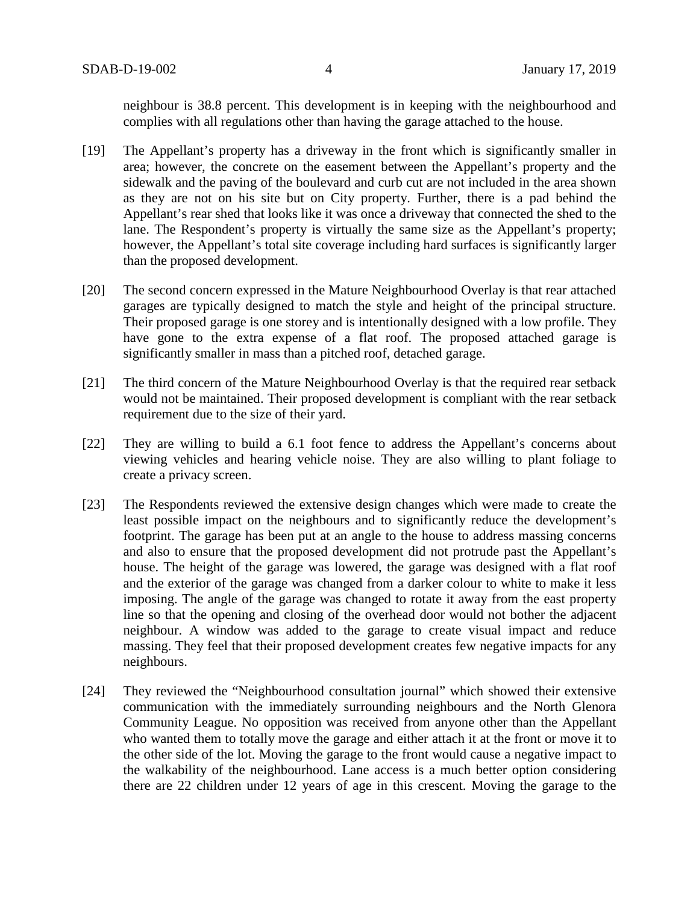neighbour is 38.8 percent. This development is in keeping with the neighbourhood and complies with all regulations other than having the garage attached to the house.

- [19] The Appellant's property has a driveway in the front which is significantly smaller in area; however, the concrete on the easement between the Appellant's property and the sidewalk and the paving of the boulevard and curb cut are not included in the area shown as they are not on his site but on City property. Further, there is a pad behind the Appellant's rear shed that looks like it was once a driveway that connected the shed to the lane. The Respondent's property is virtually the same size as the Appellant's property; however, the Appellant's total site coverage including hard surfaces is significantly larger than the proposed development.
- [20] The second concern expressed in the Mature Neighbourhood Overlay is that rear attached garages are typically designed to match the style and height of the principal structure. Their proposed garage is one storey and is intentionally designed with a low profile. They have gone to the extra expense of a flat roof. The proposed attached garage is significantly smaller in mass than a pitched roof, detached garage.
- [21] The third concern of the Mature Neighbourhood Overlay is that the required rear setback would not be maintained. Their proposed development is compliant with the rear setback requirement due to the size of their yard.
- [22] They are willing to build a 6.1 foot fence to address the Appellant's concerns about viewing vehicles and hearing vehicle noise. They are also willing to plant foliage to create a privacy screen.
- [23] The Respondents reviewed the extensive design changes which were made to create the least possible impact on the neighbours and to significantly reduce the development's footprint. The garage has been put at an angle to the house to address massing concerns and also to ensure that the proposed development did not protrude past the Appellant's house. The height of the garage was lowered, the garage was designed with a flat roof and the exterior of the garage was changed from a darker colour to white to make it less imposing. The angle of the garage was changed to rotate it away from the east property line so that the opening and closing of the overhead door would not bother the adjacent neighbour. A window was added to the garage to create visual impact and reduce massing. They feel that their proposed development creates few negative impacts for any neighbours.
- [24] They reviewed the "Neighbourhood consultation journal" which showed their extensive communication with the immediately surrounding neighbours and the North Glenora Community League. No opposition was received from anyone other than the Appellant who wanted them to totally move the garage and either attach it at the front or move it to the other side of the lot. Moving the garage to the front would cause a negative impact to the walkability of the neighbourhood. Lane access is a much better option considering there are 22 children under 12 years of age in this crescent. Moving the garage to the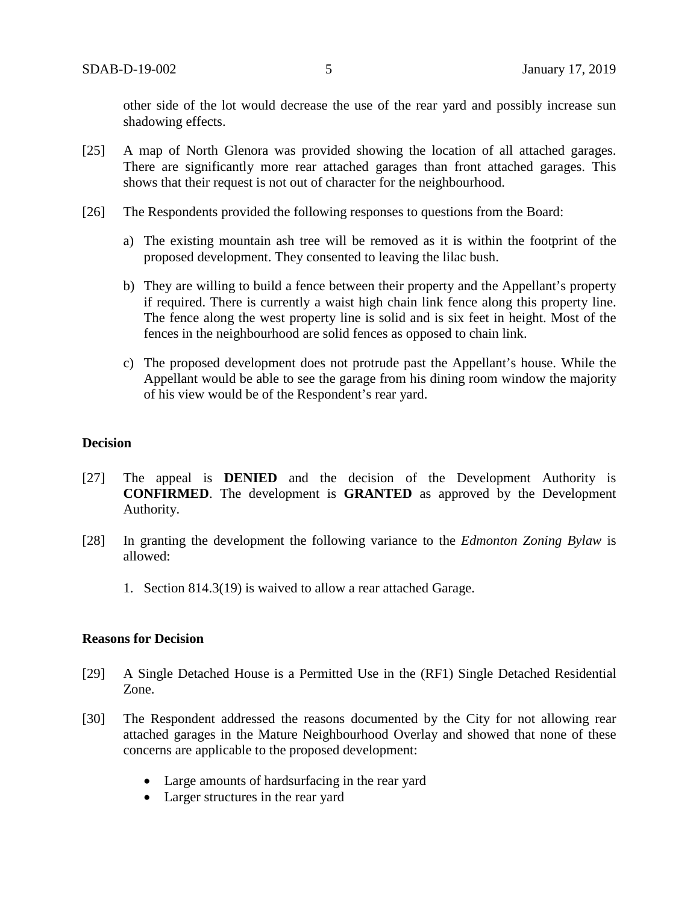other side of the lot would decrease the use of the rear yard and possibly increase sun shadowing effects.

- [25] A map of North Glenora was provided showing the location of all attached garages. There are significantly more rear attached garages than front attached garages. This shows that their request is not out of character for the neighbourhood.
- [26] The Respondents provided the following responses to questions from the Board:
	- a) The existing mountain ash tree will be removed as it is within the footprint of the proposed development. They consented to leaving the lilac bush.
	- b) They are willing to build a fence between their property and the Appellant's property if required. There is currently a waist high chain link fence along this property line. The fence along the west property line is solid and is six feet in height. Most of the fences in the neighbourhood are solid fences as opposed to chain link.
	- c) The proposed development does not protrude past the Appellant's house. While the Appellant would be able to see the garage from his dining room window the majority of his view would be of the Respondent's rear yard.

#### **Decision**

- [27] The appeal is **DENIED** and the decision of the Development Authority is **CONFIRMED**. The development is **GRANTED** as approved by the Development Authority.
- [28] In granting the development the following variance to the *Edmonton Zoning Bylaw* is allowed:
	- 1. Section 814.3(19) is waived to allow a rear attached Garage.

#### **Reasons for Decision**

- [29] A Single Detached House is a Permitted Use in the (RF1) Single Detached Residential Zone.
- [30] The Respondent addressed the reasons documented by the City for not allowing rear attached garages in the Mature Neighbourhood Overlay and showed that none of these concerns are applicable to the proposed development:
	- Large amounts of hardsurfacing in the rear yard
	- Larger structures in the rear yard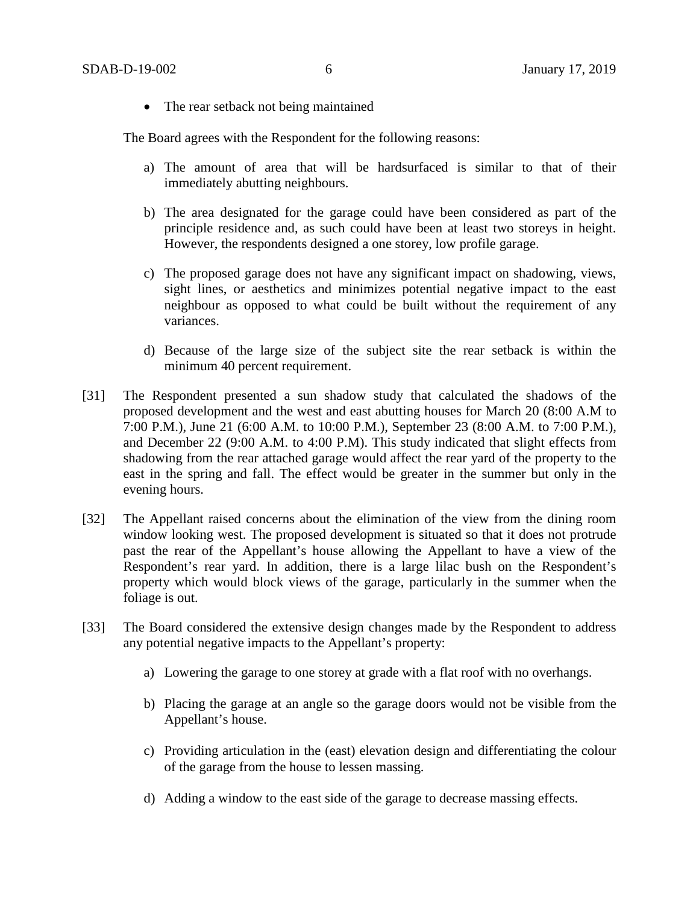• The rear setback not being maintained

The Board agrees with the Respondent for the following reasons:

- a) The amount of area that will be hardsurfaced is similar to that of their immediately abutting neighbours.
- b) The area designated for the garage could have been considered as part of the principle residence and, as such could have been at least two storeys in height. However, the respondents designed a one storey, low profile garage.
- c) The proposed garage does not have any significant impact on shadowing, views, sight lines, or aesthetics and minimizes potential negative impact to the east neighbour as opposed to what could be built without the requirement of any variances.
- d) Because of the large size of the subject site the rear setback is within the minimum 40 percent requirement.
- [31] The Respondent presented a sun shadow study that calculated the shadows of the proposed development and the west and east abutting houses for March 20 (8:00 A.M to 7:00 P.M.), June 21 (6:00 A.M. to 10:00 P.M.), September 23 (8:00 A.M. to 7:00 P.M.), and December 22 (9:00 A.M. to 4:00 P.M). This study indicated that slight effects from shadowing from the rear attached garage would affect the rear yard of the property to the east in the spring and fall. The effect would be greater in the summer but only in the evening hours.
- [32] The Appellant raised concerns about the elimination of the view from the dining room window looking west. The proposed development is situated so that it does not protrude past the rear of the Appellant's house allowing the Appellant to have a view of the Respondent's rear yard. In addition, there is a large lilac bush on the Respondent's property which would block views of the garage, particularly in the summer when the foliage is out.
- [33] The Board considered the extensive design changes made by the Respondent to address any potential negative impacts to the Appellant's property:
	- a) Lowering the garage to one storey at grade with a flat roof with no overhangs.
	- b) Placing the garage at an angle so the garage doors would not be visible from the Appellant's house.
	- c) Providing articulation in the (east) elevation design and differentiating the colour of the garage from the house to lessen massing.
	- d) Adding a window to the east side of the garage to decrease massing effects.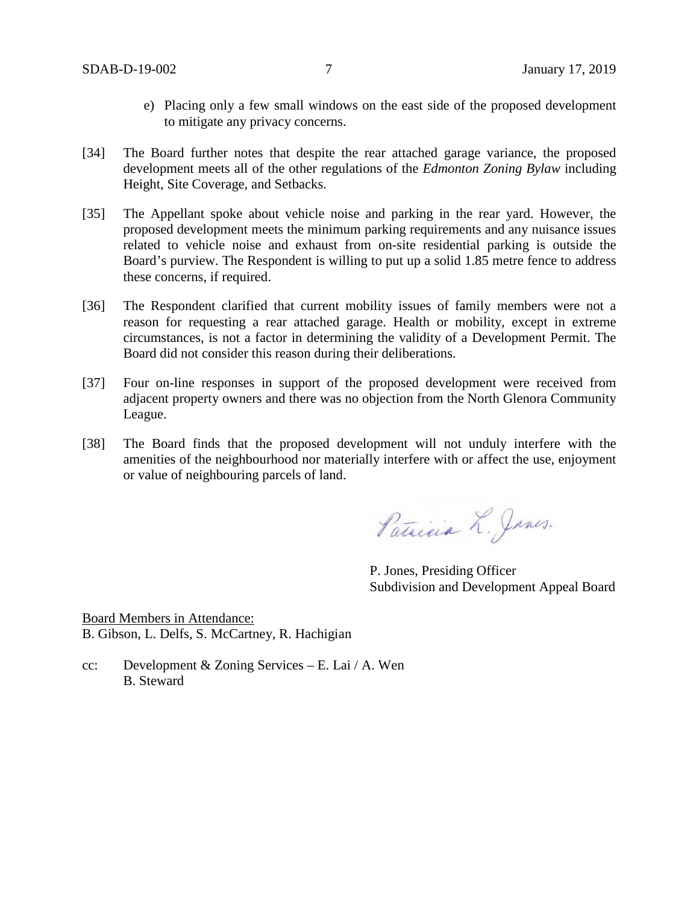- e) Placing only a few small windows on the east side of the proposed development to mitigate any privacy concerns.
- [34] The Board further notes that despite the rear attached garage variance, the proposed development meets all of the other regulations of the *Edmonton Zoning Bylaw* including Height, Site Coverage, and Setbacks.
- [35] The Appellant spoke about vehicle noise and parking in the rear yard. However, the proposed development meets the minimum parking requirements and any nuisance issues related to vehicle noise and exhaust from on-site residential parking is outside the Board's purview. The Respondent is willing to put up a solid 1.85 metre fence to address these concerns, if required.
- [36] The Respondent clarified that current mobility issues of family members were not a reason for requesting a rear attached garage. Health or mobility, except in extreme circumstances, is not a factor in determining the validity of a Development Permit. The Board did not consider this reason during their deliberations.
- [37] Four on-line responses in support of the proposed development were received from adjacent property owners and there was no objection from the North Glenora Community League.
- [38] The Board finds that the proposed development will not unduly interfere with the amenities of the neighbourhood nor materially interfere with or affect the use, enjoyment or value of neighbouring parcels of land.

Patricia L. James.

P. Jones, Presiding Officer Subdivision and Development Appeal Board

Board Members in Attendance: B. Gibson, L. Delfs, S. McCartney, R. Hachigian

cc: Development & Zoning Services – E. Lai / A. Wen B. Steward